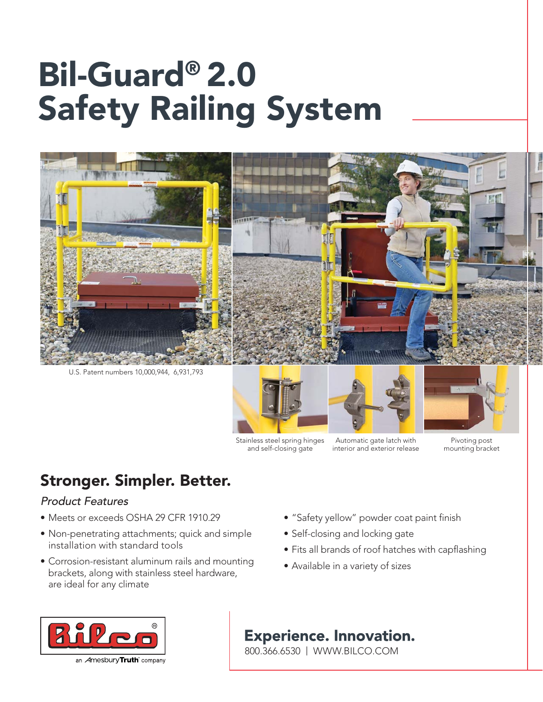# Bil-Guard® 2.0 Safety Railing System



Stainless steel spring hinges and self-closing gate

Automatic gate latch with interior and exterior release

Pivoting post mounting bracket

## Stronger. Simpler. Better.

### Product Features

- Meets or exceeds OSHA 29 CFR 1910.29
- Non-penetrating attachments; quick and simple installation with standard tools
- Corrosion-resistant aluminum rails and mounting brackets, along with stainless steel hardware, are ideal for any climate
- "Safety yellow" powder coat paint finish
- Self-closing and locking gate
- Fits all brands of roof hatches with capflashing
- Available in a variety of sizes



### **Experience. Innovation.**

800.366.6530 | WWW.BILCO.COM